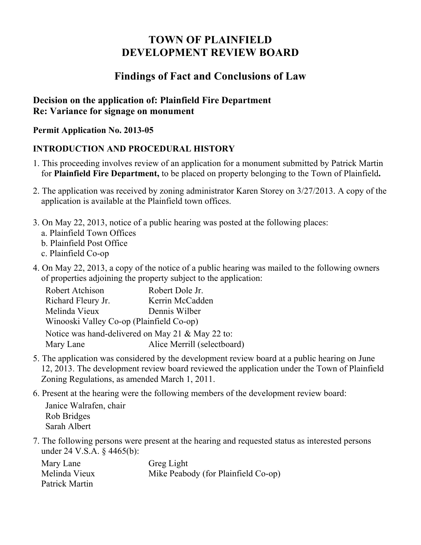# **TOWN OF PLAINFIELD DEVELOPMENT REVIEW BOARD**

## **Findings of Fact and Conclusions of Law**

### **Decision on the application of: Plainfield Fire Department Re: Variance for signage on monument**

#### **Permit Application No. 2013-05**

## **INTRODUCTION AND PROCEDURAL HISTORY**

- 1. This proceeding involves review of an application for a monument submitted by Patrick Martin for **Plainfield Fire Department,** to be placed on property belonging to the Town of Plainfield**.**
- 2. The application was received by zoning administrator Karen Storey on 3/27/2013. A copy of the application is available at the Plainfield town offices.
- 3. On May 22, 2013, notice of a public hearing was posted at the following places:
	- a. Plainfield Town Offices
	- b. Plainfield Post Office
	- c. Plainfield Co-op
- 4. On May 22, 2013, a copy of the notice of a public hearing was mailed to the following owners of properties adjoining the property subject to the application:

| Robert Atchison                                  | Robert Dole Jr.             |
|--------------------------------------------------|-----------------------------|
| Richard Fleury Jr.                               | Kerrin McCadden             |
| Melinda Vieux                                    | Dennis Wilber               |
| Winooski Valley Co-op (Plainfield Co-op)         |                             |
| Notice was hand-delivered on May 21 & May 22 to: |                             |
| Mary Lane                                        | Alice Merrill (selectboard) |

- 5. The application was considered by the development review board at a public hearing on June 12, 2013. The development review board reviewed the application under the Town of Plainfield Zoning Regulations, as amended March 1, 2011.
- 6. Present at the hearing were the following members of the development review board:

Janice Walrafen, chair Rob Bridges Sarah Albert

7. The following persons were present at the hearing and requested status as interested persons under 24 V.S.A. § 4465(b):

| Mary Lane      | Greg Light                          |
|----------------|-------------------------------------|
| Melinda Vieux  | Mike Peabody (for Plainfield Co-op) |
| Patrick Martin |                                     |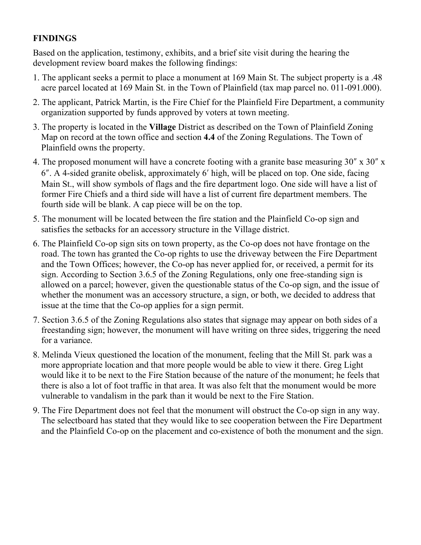## **FINDINGS**

Based on the application, testimony, exhibits, and a brief site visit during the hearing the development review board makes the following findings:

- 1. The applicant seeks a permit to place a monument at 169 Main St. The subject property is a .48 acre parcel located at 169 Main St. in the Town of Plainfield (tax map parcel no. 011-091.000).
- 2. The applicant, Patrick Martin, is the Fire Chief for the Plainfield Fire Department, a community organization supported by funds approved by voters at town meeting.
- 3. The property is located in the **Village** District as described on the Town of Plainfield Zoning Map on record at the town office and section **4.4** of the Zoning Regulations. The Town of Plainfield owns the property.
- 4. The proposed monument will have a concrete footing with a granite base measuring  $30'' \times 30''$  x 6!. A 4-sided granite obelisk, approximately 6" high, will be placed on top. One side, facing Main St., will show symbols of flags and the fire department logo. One side will have a list of former Fire Chiefs and a third side will have a list of current fire department members. The fourth side will be blank. A cap piece will be on the top.
- 5. The monument will be located between the fire station and the Plainfield Co-op sign and satisfies the setbacks for an accessory structure in the Village district.
- 6. The Plainfield Co-op sign sits on town property, as the Co-op does not have frontage on the road. The town has granted the Co-op rights to use the driveway between the Fire Department and the Town Offices; however, the Co-op has never applied for, or received, a permit for its sign. According to Section 3.6.5 of the Zoning Regulations, only one free-standing sign is allowed on a parcel; however, given the questionable status of the Co-op sign, and the issue of whether the monument was an accessory structure, a sign, or both, we decided to address that issue at the time that the Co-op applies for a sign permit.
- 7. Section 3.6.5 of the Zoning Regulations also states that signage may appear on both sides of a freestanding sign; however, the monument will have writing on three sides, triggering the need for a variance.
- 8. Melinda Vieux questioned the location of the monument, feeling that the Mill St. park was a more appropriate location and that more people would be able to view it there. Greg Light would like it to be next to the Fire Station because of the nature of the monument; he feels that there is also a lot of foot traffic in that area. It was also felt that the monument would be more vulnerable to vandalism in the park than it would be next to the Fire Station.
- 9. The Fire Department does not feel that the monument will obstruct the Co-op sign in any way. The selectboard has stated that they would like to see cooperation between the Fire Department and the Plainfield Co-op on the placement and co-existence of both the monument and the sign.